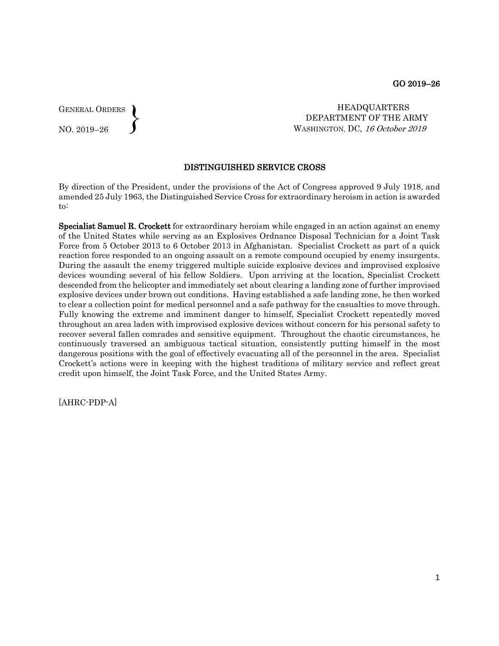GENERAL ORDERS NO. 2019–26  $\left\{ \right\}$ 

 HEADQUARTERS DEPARTMENT OF THE ARMY WASHINGTON, DC, 16 October 2019

## DISTINGUISHED SERVICE CROSS

By direction of the President, under the provisions of the Act of Congress approved 9 July 1918, and amended 25 July 1963, the Distinguished Service Cross for extraordinary heroism in action is awarded to:

Specialist Samuel R. Crockett for extraordinary heroism while engaged in an action against an enemy of the United States while serving as an Explosives Ordnance Disposal Technician for a Joint Task Force from 5 October 2013 to 6 October 2013 in Afghanistan. Specialist Crockett as part of a quick reaction force responded to an ongoing assault on a remote compound occupied by enemy insurgents. During the assault the enemy triggered multiple suicide explosive devices and improvised explosive devices wounding several of his fellow Soldiers. Upon arriving at the location, Specialist Crockett descended from the helicopter and immediately set about clearing a landing zone of further improvised explosive devices under brown out conditions. Having established a safe landing zone, he then worked to clear a collection point for medical personnel and a safe pathway for the casualties to move through. Fully knowing the extreme and imminent danger to himself, Specialist Crockett repeatedly moved throughout an area laden with improvised explosive devices without concern for his personal safety to recover several fallen comrades and sensitive equipment. Throughout the chaotic circumstances, he continuously traversed an ambiguous tactical situation, consistently putting himself in the most dangerous positions with the goal of effectively evacuating all of the personnel in the area. Specialist Crockett's actions were in keeping with the highest traditions of military service and reflect great credit upon himself, the Joint Task Force, and the United States Army.

[AHRC-PDP-A]